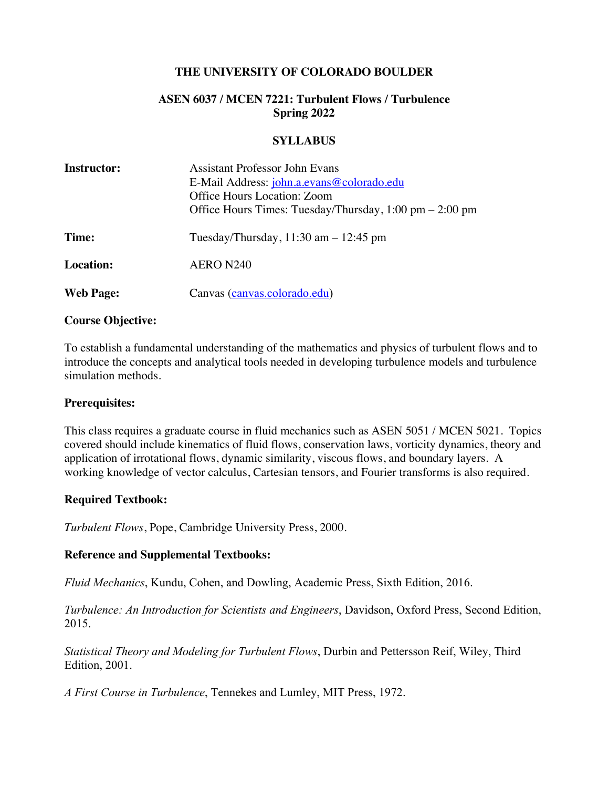### **THE UNIVERSITY OF COLORADO BOULDER**

### **ASEN 6037 / MCEN 7221: Turbulent Flows / Turbulence Spring 2022**

#### **SYLLABUS**

| <b>Instructor:</b> | <b>Assistant Professor John Evans</b>                                     |
|--------------------|---------------------------------------------------------------------------|
|                    | E-Mail Address: john.a.evans@colorado.edu                                 |
|                    | Office Hours Location: Zoom                                               |
|                    | Office Hours Times: Tuesday/Thursday, $1:00 \text{ pm} - 2:00 \text{ pm}$ |
| Time:              | Tuesday/Thursday, $11:30$ am $-12:45$ pm                                  |
| <b>Location:</b>   | AERO N240                                                                 |
| <b>Web Page:</b>   | Canvas (canvas.colorado.edu)                                              |

#### **Course Objective:**

To establish a fundamental understanding of the mathematics and physics of turbulent flows and to introduce the concepts and analytical tools needed in developing turbulence models and turbulence simulation methods.

#### **Prerequisites:**

This class requires a graduate course in fluid mechanics such as ASEN 5051 / MCEN 5021. Topics covered should include kinematics of fluid flows, conservation laws, vorticity dynamics, theory and application of irrotational flows, dynamic similarity, viscous flows, and boundary layers. A working knowledge of vector calculus, Cartesian tensors, and Fourier transforms is also required.

### **Required Textbook:**

*Turbulent Flows*, Pope, Cambridge University Press, 2000.

### **Reference and Supplemental Textbooks:**

*Fluid Mechanics*, Kundu, Cohen, and Dowling, Academic Press, Sixth Edition, 2016.

*Turbulence: An Introduction for Scientists and Engineers*, Davidson, Oxford Press, Second Edition, 2015.

*Statistical Theory and Modeling for Turbulent Flows*, Durbin and Pettersson Reif, Wiley, Third Edition, 2001.

*A First Course in Turbulence*, Tennekes and Lumley, MIT Press, 1972.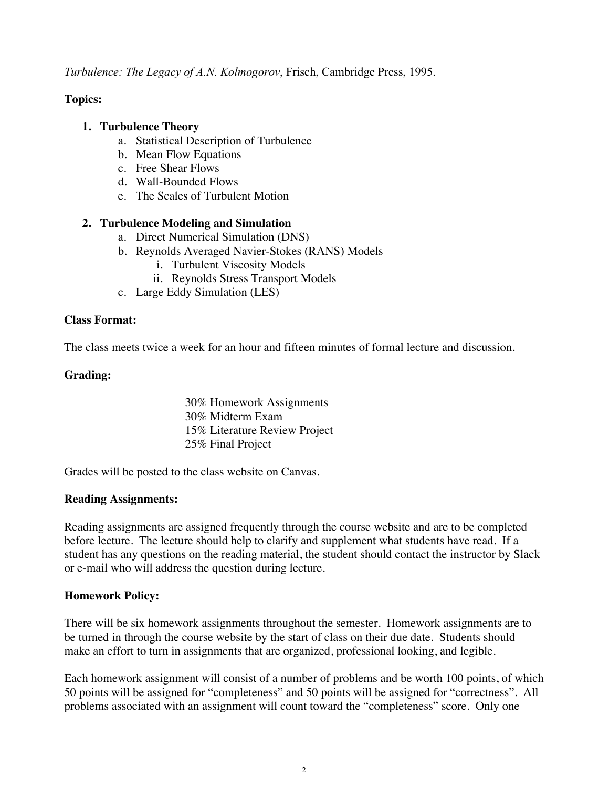*Turbulence: The Legacy of A.N. Kolmogorov*, Frisch, Cambridge Press, 1995.

# **Topics:**

### **1. Turbulence Theory**

- a. Statistical Description of Turbulence
- b. Mean Flow Equations
- c. Free Shear Flows
- d. Wall-Bounded Flows
- e. The Scales of Turbulent Motion

### **2. Turbulence Modeling and Simulation**

- a. Direct Numerical Simulation (DNS)
- b. Reynolds Averaged Navier-Stokes (RANS) Models
	- i. Turbulent Viscosity Models
	- ii. Reynolds Stress Transport Models
- c. Large Eddy Simulation (LES)

### **Class Format:**

The class meets twice a week for an hour and fifteen minutes of formal lecture and discussion.

### **Grading:**

30% Homework Assignments 30% Midterm Exam 15% Literature Review Project 25% Final Project

Grades will be posted to the class website on Canvas.

### **Reading Assignments:**

Reading assignments are assigned frequently through the course website and are to be completed before lecture. The lecture should help to clarify and supplement what students have read. If a student has any questions on the reading material, the student should contact the instructor by Slack or e-mail who will address the question during lecture.

# **Homework Policy:**

There will be six homework assignments throughout the semester. Homework assignments are to be turned in through the course website by the start of class on their due date. Students should make an effort to turn in assignments that are organized, professional looking, and legible.

Each homework assignment will consist of a number of problems and be worth 100 points, of which 50 points will be assigned for "completeness" and 50 points will be assigned for "correctness". All problems associated with an assignment will count toward the "completeness" score. Only one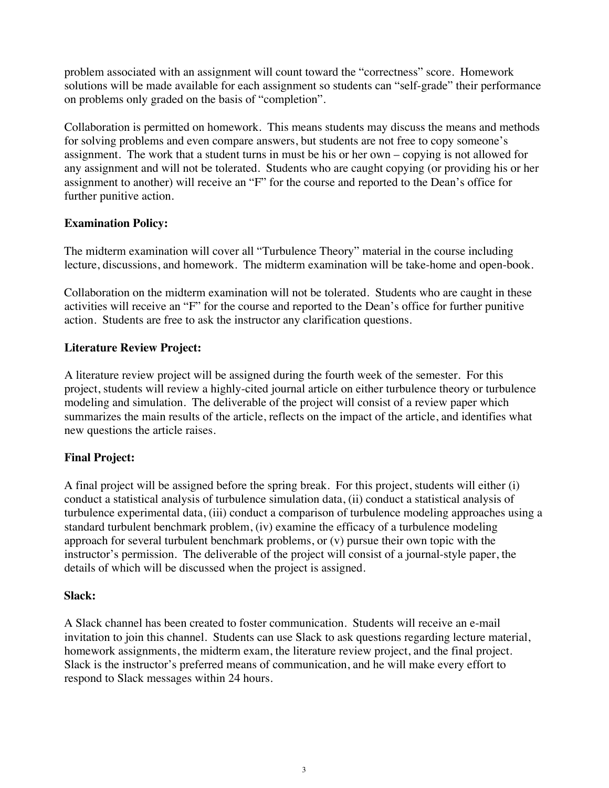problem associated with an assignment will count toward the "correctness" score. Homework solutions will be made available for each assignment so students can "self-grade" their performance on problems only graded on the basis of "completion".

Collaboration is permitted on homework. This means students may discuss the means and methods for solving problems and even compare answers, but students are not free to copy someone's assignment. The work that a student turns in must be his or her own – copying is not allowed for any assignment and will not be tolerated. Students who are caught copying (or providing his or her assignment to another) will receive an "F" for the course and reported to the Dean's office for further punitive action.

# **Examination Policy:**

The midterm examination will cover all "Turbulence Theory" material in the course including lecture, discussions, and homework. The midterm examination will be take-home and open-book.

Collaboration on the midterm examination will not be tolerated. Students who are caught in these activities will receive an "F" for the course and reported to the Dean's office for further punitive action. Students are free to ask the instructor any clarification questions.

### **Literature Review Project:**

A literature review project will be assigned during the fourth week of the semester. For this project, students will review a highly-cited journal article on either turbulence theory or turbulence modeling and simulation. The deliverable of the project will consist of a review paper which summarizes the main results of the article, reflects on the impact of the article, and identifies what new questions the article raises.

# **Final Project:**

A final project will be assigned before the spring break. For this project, students will either (i) conduct a statistical analysis of turbulence simulation data, (ii) conduct a statistical analysis of turbulence experimental data, (iii) conduct a comparison of turbulence modeling approaches using a standard turbulent benchmark problem, (iv) examine the efficacy of a turbulence modeling approach for several turbulent benchmark problems, or (v) pursue their own topic with the instructor's permission. The deliverable of the project will consist of a journal-style paper, the details of which will be discussed when the project is assigned.

### **Slack:**

A Slack channel has been created to foster communication. Students will receive an e-mail invitation to join this channel. Students can use Slack to ask questions regarding lecture material, homework assignments, the midterm exam, the literature review project, and the final project. Slack is the instructor's preferred means of communication, and he will make every effort to respond to Slack messages within 24 hours.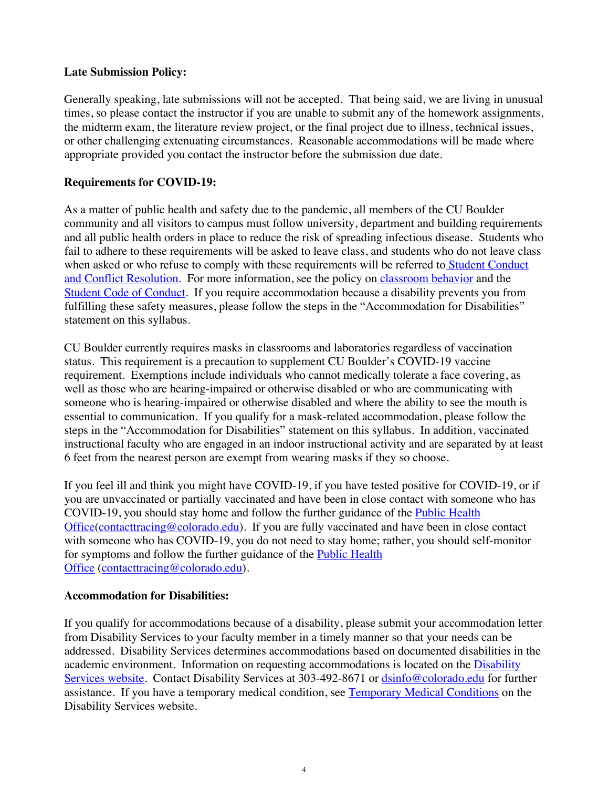### **Late Submission Policy:**

Generally speaking, late submissions will not be accepted. That being said, we are living in unusual times, so please contact the instructor if you are unable to submit any of the homework assignments, the midterm exam, the literature review project, or the final project due to illness, technical issues, or other challenging extenuating circumstances. Reasonable accommodations will be made where appropriate provided you contact the instructor before the submission due date.

### **Requirements for COVID-19:**

As a matter of public health and safety due to the pandemic, all members of the CU Boulder community and all visitors to campus must follow university, department and building requirements and all public health orders in place to reduce the risk of spreading infectious disease. Students who fail to adhere to these requirements will be asked to leave class, and students who do not leave class when asked or who refuse to comply with these requirements will be referred to Student Conduct and Conflict Resolution. For more information, see the policy on classroom behavior and the Student Code of Conduct. If you require accommodation because a disability prevents you from fulfilling these safety measures, please follow the steps in the "Accommodation for Disabilities" statement on this syllabus.

CU Boulder currently requires masks in classrooms and laboratories regardless of vaccination status. This requirement is a precaution to supplement CU Boulder's COVID-19 vaccine requirement. Exemptions include individuals who cannot medically tolerate a face covering, as well as those who are hearing-impaired or otherwise disabled or who are communicating with someone who is hearing-impaired or otherwise disabled and where the ability to see the mouth is essential to communication. If you qualify for a mask-related accommodation, please follow the steps in the "Accommodation for Disabilities" statement on this syllabus. In addition, vaccinated instructional faculty who are engaged in an indoor instructional activity and are separated by at least 6 feet from the nearest person are exempt from wearing masks if they so choose.

If you feel ill and think you might have COVID-19, if you have tested positive for COVID-19, or if you are unvaccinated or partially vaccinated and have been in close contact with someone who has COVID-19, you should stay home and follow the further guidance of the Public Health Office(contacttracing@colorado.edu). If you are fully vaccinated and have been in close contact with someone who has COVID-19, you do not need to stay home; rather, you should self-monitor for symptoms and follow the further guidance of the **Public Health** Office (contacttracing@colorado.edu).

### **Accommodation for Disabilities:**

If you qualify for accommodations because of a disability, please submit your accommodation letter from Disability Services to your faculty member in a timely manner so that your needs can be addressed. Disability Services determines accommodations based on documented disabilities in the academic environment. Information on requesting accommodations is located on the Disability Services website. Contact Disability Services at 303-492-8671 or dsinfo@colorado.edu for further assistance. If you have a temporary medical condition, see Temporary Medical Conditions on the Disability Services website.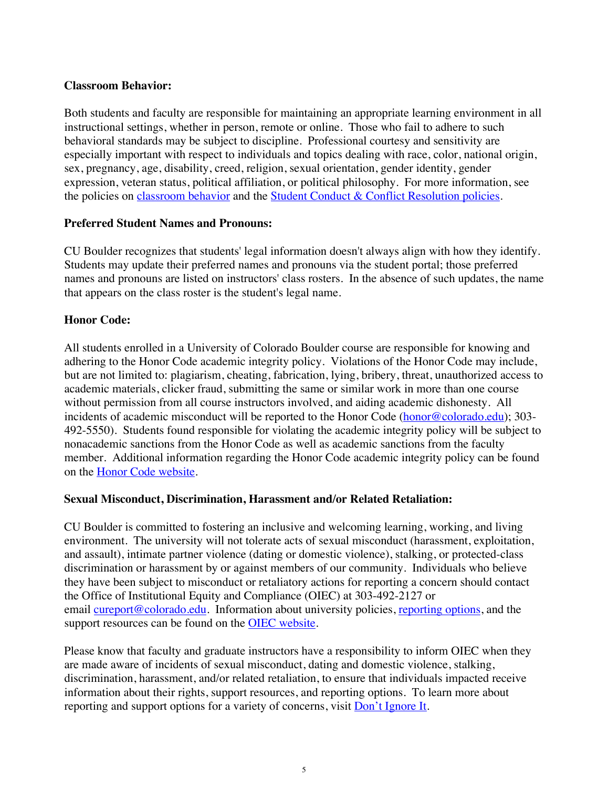### **Classroom Behavior:**

Both students and faculty are responsible for maintaining an appropriate learning environment in all instructional settings, whether in person, remote or online. Those who fail to adhere to such behavioral standards may be subject to discipline. Professional courtesy and sensitivity are especially important with respect to individuals and topics dealing with race, color, national origin, sex, pregnancy, age, disability, creed, religion, sexual orientation, gender identity, gender expression, veteran status, political affiliation, or political philosophy. For more information, see the policies on classroom behavior and the Student Conduct & Conflict Resolution policies.

### **Preferred Student Names and Pronouns:**

CU Boulder recognizes that students' legal information doesn't always align with how they identify. Students may update their preferred names and pronouns via the student portal; those preferred names and pronouns are listed on instructors' class rosters. In the absence of such updates, the name that appears on the class roster is the student's legal name.

# **Honor Code:**

All students enrolled in a University of Colorado Boulder course are responsible for knowing and adhering to the Honor Code academic integrity policy. Violations of the Honor Code may include, but are not limited to: plagiarism, cheating, fabrication, lying, bribery, threat, unauthorized access to academic materials, clicker fraud, submitting the same or similar work in more than one course without permission from all course instructors involved, and aiding academic dishonesty. All incidents of academic misconduct will be reported to the Honor Code (honor@colorado.edu); 303-492-5550). Students found responsible for violating the academic integrity policy will be subject to nonacademic sanctions from the Honor Code as well as academic sanctions from the faculty member. Additional information regarding the Honor Code academic integrity policy can be found on the Honor Code website.

### **Sexual Misconduct, Discrimination, Harassment and/or Related Retaliation:**

CU Boulder is committed to fostering an inclusive and welcoming learning, working, and living environment. The university will not tolerate acts of sexual misconduct (harassment, exploitation, and assault), intimate partner violence (dating or domestic violence), stalking, or protected-class discrimination or harassment by or against members of our community. Individuals who believe they have been subject to misconduct or retaliatory actions for reporting a concern should contact the Office of Institutional Equity and Compliance (OIEC) at 303-492-2127 or email cureport@colorado.edu. Information about university policies, reporting options, and the support resources can be found on the **OIEC** website.

Please know that faculty and graduate instructors have a responsibility to inform OIEC when they are made aware of incidents of sexual misconduct, dating and domestic violence, stalking, discrimination, harassment, and/or related retaliation, to ensure that individuals impacted receive information about their rights, support resources, and reporting options. To learn more about reporting and support options for a variety of concerns, visit Don't Ignore It.